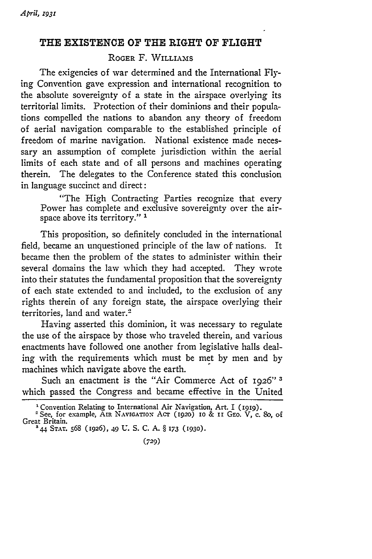## **THE EXISTENCE OF THE RIGHT OF FLIGHT**

## ROGER F. WILLIAMS

The exigencies of war determined and the International Flying Convention gave expression and international recognition to the absolute sovereignty of a state in the airspace overlying its territorial limits. Protection of their dominions and their populations compelled the nations to abandon any theory of freedom of aerial navigation comparable to the established principle of freedom of marine navigation. National existence made necessary an assumption of complete jurisdiction within the aerial limits of each state and of all persons and machines operating therein. The delegates to the Conference stated this conclusion in language succinct and direct:

"The High Contracting Parties recognize that every Power has complete and exclusive sovereignty over the airspace above its territory." **I**

This proposition, so definitely concluded in the international field, became an unquestioned principle of the law of nations. It became then the problem of the states to administer within their several domains the law which they had accepted. They wrote into their statutes the fundamental proposition that the sovereignty of each state extended to and included, to the exclusion of any rights therein of any foreign state, the airspace overlying their territories, land and water.<sup>2</sup>

Having asserted this dominion, it was necessary to regulate the use of the airspace **by** those who traveled therein, and various enactments have followed one another from legislative halls dealing with the requirements which must be met **by** men and **by** machines which navigate above the earth.

Such an enactment is the "Air Commerce Act of 1926" 3 which passed the Congress and became effective in the United

**<sup>1</sup>** Convention Relating to International Air Navigation, Art. I **(1919).**

<sup>-</sup>See, for example, AIR NAVIGATION Acr **(1920) i0** & II GEo. V, c. **80,** of Great Britain.<br><sup>3</sup>44 STAT. 568 (1926), 49 U. S. C. A. § 173 (1930)

**<sup>(729)</sup>**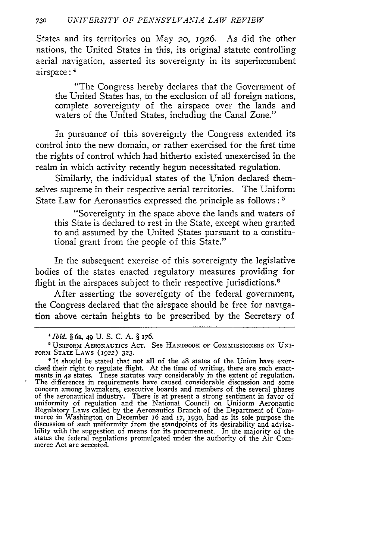States and its territories on May 2o, 1926. As did the other nations, the United States in this, its original statute controlling aerial navigation, asserted its sovereignty in its superincumbent airspace:<sup>4</sup>

"The Congress hereby declares that the Government of the United States has, to the exclusion of all foreign nations, complete sovereignty of the airspace over the lands and waters of the United States, including the Canal Zone."

In pursuance of this sovereignty the Congress extended its control into the new domain, or rather exercised for the first time the rights of control which had hitherto existed unexercised in the realm in which activity recently begun necessitated regulation.

Similarly, the individual states of the Union declared themselves supreme in their respective aerial territories. The Uniform State Law for Aeronautics expressed the principle as follows: **5**

"Sovereignty in the space above the lands and waters of this State is declared to rest in the State, except when granted to and assumed by the United States pursuant to a constitutional grant from the people of this State."

In the subsequent exercise of this sovereignty the legislative bodies of the states enacted regulatory measures providing for flight in the airspaces subject to their respective jurisdictions.<sup>6</sup>

After asserting the sovereignty of the federal government, the Congress declared that the airspace should be free for navigation above certain heights to be prescribed by the Secretary of

*<sup>&#</sup>x27;Ibid. §* 6a, 49 U. S. C. A. § 176.

UNIFORMf AERONAUTICS AcT. See **HANDBOOK** OF COMMISSIONERS **ON** UxI-FORi **STATE** LAWS (1922) **323.**

 $\degree$  It should be stated that not all of the 48 states of the Union have exercised their right to regulate flight. At the time of writing, there are such enactments in 42 states. These statutes vary considerably in the ex concern among lawmakers, executive boards and members of the several phases<br>of the aeronautical industry. There is at present a strong sentiment in favor of<br>uniformity of regulation and the National Council on Uniform Aero bility with the suggestion of means for its procurement. In the majority of the states the federal regulations promulgated under the authority of the Air Commerce Act are accepted.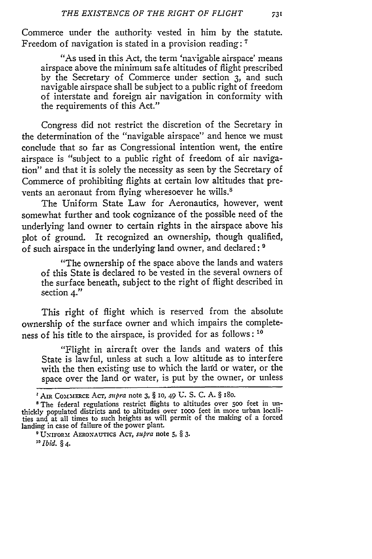Commerce under the authority vested in him by the statute. Freedom of navigation is stated in a provision reading: **-**

"As used in this Act, the term 'navigable airspace' means airspace above the minimum safe altitudes of flight prescribed by the Secretary of Commerce under section **3,** and such navigable airspace shall be subject to a public right of freedom of interstate and foreign air navigation in conformity with the requirements of this Act."

Congress did not restrict the discretion of the Secretary in the determination of the "navigable airspace" and hence we must conclude that so far as Congressional intention went, the entire airspace is "subject to a public right of freedom of air navigation" and that it is solely the necessity as seen by the Secretary of Commerce of prohibiting flights at certain low altitudes that prevents an aeronaut from flying wheresoever he wills.<sup>8</sup>

The Uniform State Law for Aeronautics, however, went somewhat further and took cognizance of the possible need of the underlying land owner to certain rights in the airspace above his plot of ground. It recognized an ownership, though qualified, of such airspace in the underlying land owner, and declared: **'**

"The ownership of the space above the lands and waters of this State is declared to be vested in the several owners of the surface beneath, subject to the right of flight described in section 4."

This right of flight which is reserved from the absolute ownership of the surface owner and which impairs the completeness of his title to the airspace, is provided for as follows: **10**

"Flight in aircraft over the lands and waters of this State is lawful, unless at such a low altitude as to interfere with the then existing use to which the land or water, or the space over the land or water, is put by the owner, or unless

**AIR** Com.MEcE AcT, *supra* note **3,** § **10,** 49 **U. S. C. A.** § iSo.

The federal regulations restrict flights to altitudes over 5oo feet in unthickly populated districts and to altitudes over iooo feet in more urban localities and at all times to such heights as will permit of the making of a forced landing in case of failure of the power plant.

o UNIFORMt **AERoNAUTIcs** AT, *supra* note **5,** § 3. *1 1 Ibid.* § 4.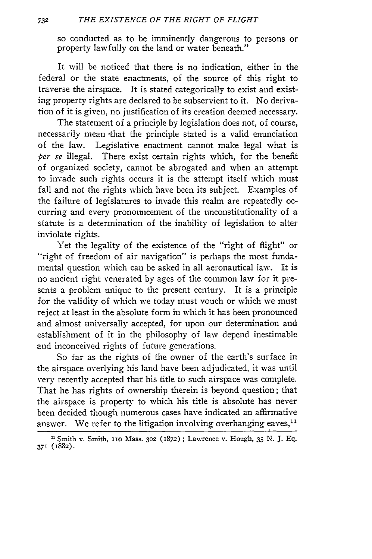so conducted as to be imminently dangerous to persons or property lawfully on the land or water beneath."

It will be noticed that there is no indication, either in the federal or the state enactments, of the source of this right to traverse the airspace. It is stated categorically to exist and existing property rights are declared to be subservient to it. No derivation of it is given, no justification of its creation deemed necessary.

The statement of a principle by legislation does not, of course, necessarily mean -that the principle stated is a valid enunciation of the law. Legislative enactment cannot make legal what is *per se* illegal. There exist certain rights which, for the benefit of organized society, cannot be abrogated and when an attempt to invade such rights occurs it is the attempt itself which must fall and not the rights which have been its subject. Examples of the failure of legislatures to invade this realm are repeatedly occurring and every pronouncement of the unconstitutionality of a statute is a determination of the inability of legislation to alter inviolate rights.

Yet the legality of the existence of the "right of flight" or "right of freedom of air navigation" is perhaps the most fundamental question which can be asked in all aeronautical law. It is no ancient right venerated by ages of the common law for it presents a problem unique to the present century. It is a principle for the validity of which we today must vouch or which we must reject at least in the absolute form in which it has been pronounced and almost universally accepted, for upon our determination and establishment of it in the philosophy of law depend inestimable and inconceived rights of future generations.

So far as the rights of the owner of the earth's surface in the airspace overlying his land have been adjudicated, it was until very recently accepted that his title to such airspace was complete. That he has rights of ownership therein is beyond question; that the airspace is property to which his title is absolute has never been decided though numerous cases have indicated an affirmative answer. We refer to the litigation involving overhanging eaves,<sup>11</sup>

**<sup>21</sup>** Smith v. Smith, io Mass. **302** (1872); Lawrence v. Hough, 35 N. J. Eq. **371 (1882).**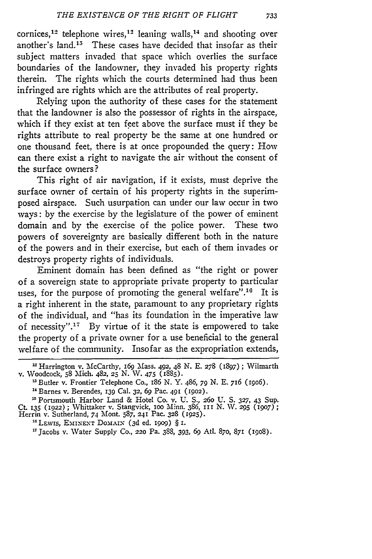cornices,<sup>12</sup> telephone wires,<sup>12</sup> leaning walls,<sup>14</sup> and shooting over another's land.<sup>15</sup> These cases have decided that insofar as their subject matters invaded that space which overlies the surface boundaries of the landowner, they invaded his property rights therein. The rights which the courts determined had thus been infringed are rights which are the attributes of real property.

Relying upon the authority of these cases for the statement that the landowner is also the possessor of rights in the airspace, which if they exist at ten feet above the surface must if they be rights attribute to real property be the same at one hundred or one thousand feet, there is at once propounded the query: How can there exist a right to navigate the air without the consent of the surface owners?

This right of air navigation, if it exists, must deprive the surface owner of certain of his property rights in the superimposed airspace. Such usurpation can under our law occur in two ways: **by** the exercise **by** the legislature of the power of eminent domain and **by** the exercise of the police power. These two powers of sovereignty are basically different both in the nature of the powers and in their exercise, but each of them invades or destroys property rights of individuals.

Eminent domain has been defined as "the right or power of a sovereign state to appropriate private property to particular uses, for the purpose of promoting the general welfare".<sup>16</sup> It is a right inherent in the state, paramount to any proprietary rights of the individual, and "has its foundation in the imperative law of necessity".<sup>17</sup> By virtue of it the state is empowered to take the property of a private owner for a use beneficial to the general welfare of the community. Insofar as the expropriation extends,

Harrington v. McCarthy, 169 Mass. 492, 48 N. E. *278* (1897); Wilmarth v. Woodcock, 58 Mich. 482, 25 N. W. 475 **(1885).**

<sup>&#</sup>x27;Butler v. Frontier Telephone Co., i86 N. Y. 486, **79** N. E. 716 (i9o6).

<sup>&</sup>quot;Barnes v. Berendes, **139** Cal. **32, 69** Pac. **491** (1902).

**<sup>1</sup>**Portsmouth Harbor Land & Hotel Co. v. U. S., **260** U. S. **327,** 43 Sup. Ct. **135** (1922) **;** Whittaker v. Stang-vick, ioo Minn. 386, **iII** N. W. *295* (1907); Herrin v. Sutherland, 74 Mont. 587, **241** Pac. **328 (1925).**

<sup>&</sup>lt;sup>16</sup> LEWIS, EMINENT DOMAIN (3d ed. 1909) § I.

7Jacobs v. Water Supply Co., **220** Pa. 388, 393, **69** Atl. 87o, 871 **(908).**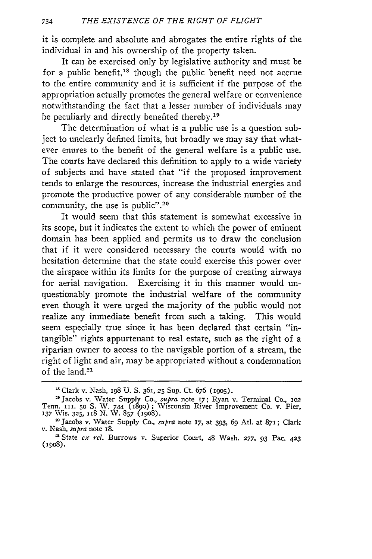it is complete and absolute and abrogates the entire rights of the individual in and his ownership of the property taken.

It can be exercised only by legislative authority and must be for a public benefit,<sup>18</sup> though the public benefit need not accrue to the entire community and it is sufficient if the purpose of the appropriation actually promotes the general welfare or convenience notwithstanding the fact that a lesser number of individuals may be peculiarly and directly benefited thereby.<sup>19</sup>

The determination of what is a public use is a question subject to unclearly defined limits, but broadly we may say that whatever enures to the benefit of the general welfare is a public use. The courts have declared this definition to apply to a wide variety of subjects and have stated that "if the proposed improvement tends to enlarge the resources, increase the industrial energies and promote the productive power of any considerable number of the community, the use is public".<sup>20</sup>

It would seem that this statement is somewhat excessive in its scope, but it indicates the extent to which the power of eminent domain has been applied and permits us to draw the conclusion that if it were considered necessary the courts would with no hesitation determine that the state could exercise this power over the airspace within its limits for the purpose of creating airways for aerial navigation. Exercising it in this manner would unquestionably promote the industrial welfare of the community even though it were urged the majority of the public would not realize any immediate benefit from such a taking. This would seem especially true since it has been declared that certain "intangible" rights appurtenant to real estate, such as the right of a riparian owner to access to the navigable portion of a stream, the right of light and air, may be appropriated without a condemnation of the land.<sup>21</sup>

**<sup>&#</sup>x27;** Clark v. Nash, **198** U. S. 361, **25** Sup. Ct. 676 (i9o5).

<sup>&#</sup>x27; Jacobs v. Water Supply Co., *supra* note *17;* Ryan v. Terminal Co., **102** Tenn. *in.* io S. W. 744 (1899); Wisconsin River Improvement Co. v. Pier, **137** Wis. **325,** II8 N. W. **857** (I908).

<sup>&#</sup>x27;Jacobs v. Water Supply Co., *stpra* note **17,** at 393, *69* Ati. at **871** ; Clark v. Nash, *supra* note **18.**

**<sup>&#</sup>x27;** State *ex rel.* Burrows v. Superior Court, 48 Wash. **277, 93** Pac. **423** (ipo8).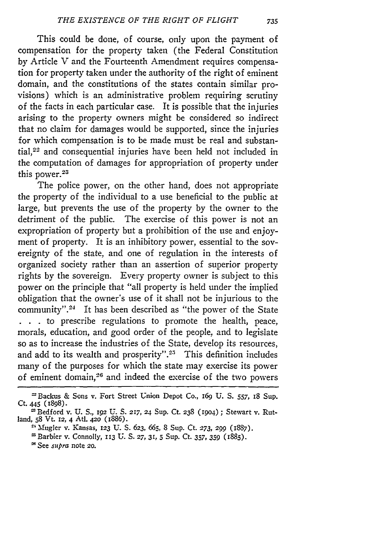This could be done, of course, only upon the payment of compensation for the property taken (the Federal Constitution by Article V and the Fourteenth Amendment requires compensation for property taken under the authority of the right of eminent domain, and the constitutions of the states contain similar provisions) which is an administrative problem requiring scrutiny of the facts in each particular case. It is possible that the injuries arising to the property owners might be considered so indirect that no claim for damages would be supported, since the injuries for which compensation is to be made must be real and substantial,<sup>22</sup> and consequential injuries have been held not included in the computation of damages for appropriation of property under this power.<sup>28</sup>

The police power, on the other hand, does not appropriate the property of the individual to a use beneficial to the public at large, but prevents the use of the property by the owner to the detriment of the public. The exercise of this power is not an expropriation of property but a prohibition of the use and enjoyment of property. It is an inhibitory power, essential to the sovereignty of the state, and one of regulation in the interests of organized society rather than an assertion of superior property rights by the sovereign. Every property owner is subject to this power on the principle that "all property is held under the implied obligation that the owner's use of it shall not be injurious to the community".<sup>24</sup> It has been described as "the power of the State **. . .** to prescribe regulations to promote the health, peace, morals, education, and good order of the people, and to legislate so as to increase the industries of the State, develop its resources, and add to its wealth and prosperity".<sup>25</sup> This definition includes many of the purposes for which the state may exercise its power of eminent domain,<sup>26</sup> and indeed the exercise of the two powers

<sup>-2</sup>Backus & Sons v. Fort Street Union Depot Co., *I69* **U.** S. **557,** I8 Sup. Ct. 445 (1898).

**I** Bedford v. U. S., **I92** U. S. *217,* 24 Sup. Ct. **238** (i9o4) **;** Stewart v. Rutland, **58** Vt. **12,** 4 Ati. 42o (i886).

<sup>-&#</sup>x27;-,fugler v. Kansas, **123 U. S. 623,** *665,* 8 Sup. Ct. **273, 299 (1887).**

SBarbier v. Connolly, **113** U. S. **27, 31, 5** Sup. Ct. 357, **359** (i885).

See *supra* note **20.**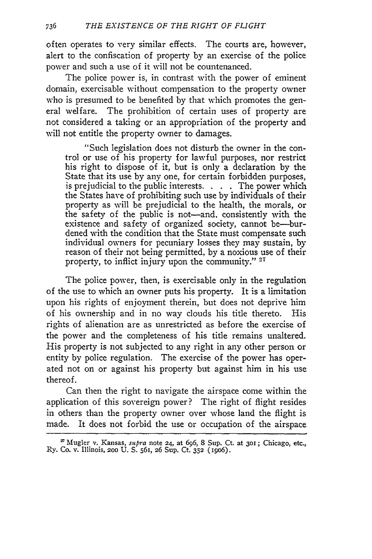often operates to very similar effects. The courts are, however, alert to the confiscation of property by an exercise of the police power and such a use of it will not be countenanced.

The police power *is,* in contrast with the power of eminent domain, exercisable without compensation to the property owner who is presumed to be benefited by that which promotes the general welfare. The prohibition of certain uses of property are not considered a taking or an appropriation of the property and will not entitle the property owner to damages.

"Such legislation does not disturb the owner in the control or use of his property for lawful purposes, nor restrict his right to dispose of it, but is only a declaration by the State that its use by any one, for certain forbidden purposes, is prejudicial to the public interests. **.** . . The power which the States have of prohibiting such use by individuals of their property as will be prejudicial to the health, the morals, or the safety of the public is not—and, consistently with the existence and safety of organized society, cannot be-burdened with the condition that the State must compensate such individual owners for pecuniary losses they may sustain, by reason of their not being permitted, by a noxious use of their property, to inflict injury upon the community." **<sup>27</sup>**

The police power, then, is exercisable only in the regulation of the use to which an owner puts his property. It is a limitation upon his rights of enjoyment therein, but does not deprive him of his ownership and in no way clouds his title thereto. His rights of alienation are as unrestricted as before the exercise of the power and the completeness of his title remains unaltered. His property is not subjected to any right in any other person or entity by police regulation. The exercise of the power has operated not on or against his property but against him in his use thereof.

Can then the right to navigate the airspace come within the application of this sovereign power? The right of flight resides in others than the property owner over whose land the flight is made. It does not forbid the use or occupation of the airspace

<sup>-</sup> Mugler v. Kansas, *supra* note **24,** at **696,** 8 Sup. Ct. at **3oi;** Chicago, etc., Ry. Co. v. Illinois, **2oo U.** S. 561, **26** Sup. Ct. **352** (igo6).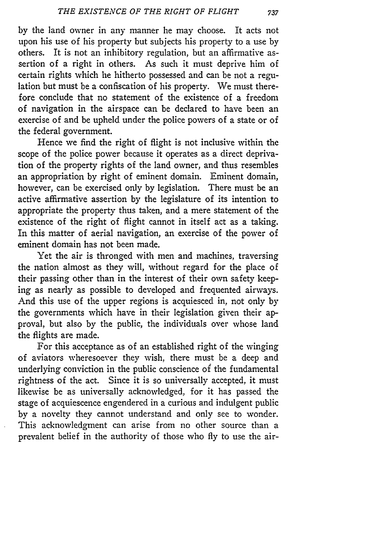by the land owner in any manner he may choose. It acts not upon his use of his property but subjects his property to a use by others. It is not an inhibitory regulation, but an affirmative assertion of a right in others. As such it must deprive him of certain rights which he hitherto possessed and can be not a regulation but must be a confiscation of his property. We must therefore conclude that no statement of the existence of a freedom of navigation in the airspace can be declared to have been an exercise of and be upheld under the police powers of a state or of the federal government.

Hence we find the right of flight is not inclusive within the scope of the police power because it operates as a direct deprivation of the property rights of the land owner, and thus resembles an appropriation by right of eminent domain. Eminent domain, however, can be exercised only by legislation. There must be an active affirmative assertion by the legislature of its intention to appropriate the property thus taken, and a mere statement of the existence of the right of flight cannot in itself act as a taking. In this matter of aerial navigation, an exercise of the power of eminent domain has not been made.

Yet the air is thronged with men and machines, traversing the nation almost as they will, without regard for the place of their passing other than in the interest of their own safety keeping as nearly as possible to developed and frequented airways. And this use of the upper regions is acquiesced in, not only by the governments which have in their legislation given their approval, but also by the public, the individuals over whose land the flights are made.

For this acceptance as of an established right of the winging of aviators wheresoever they wish, there must be a deep and underlying conviction in the public conscience of the fundamental rightness of the act. Since it is so universally accepted, it must likewise be as universally acknowledged, for it has passed the stage of acquiescence engendered in a curious and indulgent public by a novelty they cannot understand and only see to wonder. This acknowledgment can arise from no other source than a prevalent belief in the authority of those who fly to use the air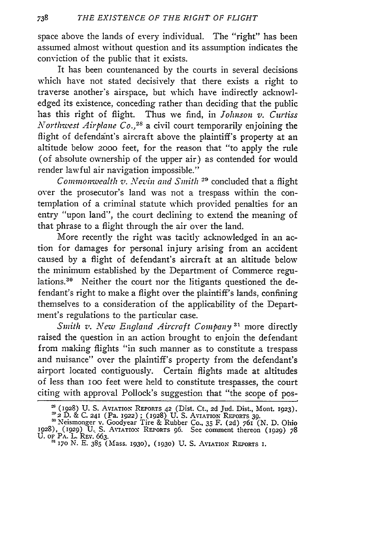space above the lands of every individual. The "right" has been assumed almost without question and its assumption indicates the conviction of the public that it exists.

It has been countenanced by the courts in several decisions which have not stated decisively that there exists a right to traverse another's airspace, but which have indirectly acknowledged its existence, conceding rather than deciding that the public has this right of flight. Thus we find, in *Johnson v. Curtiss Northwest Airplane Co., 2s* a civil court temporarily enjoining the flight of defendant's aircraft above the plaintiff's property at an altitude below **2000** feet, for the reason that "to apply the rule (of absolute ownership of the upper air) as contended for would render lawful air navigation impossible."

*Commonwealth v. Nevin and Smith* <sup>29</sup> concluded that a flight over the prosecutor's land was not a trespass within the contemplation of a criminal statute which provided penalties for an entry "upon land", the court declining to extend the meaning of that phrase to a flight through the air over the land.

More recently the right was tacitly acknowledged in an action for damages for personal injury arising from an accident caused by a flight of defendant's aircraft at an altitude below the minimum established by the Department of Commerce regulations.<sup>30</sup> Neither the court nor the litigants questioned the defendant's right to make a flight over the plaintiff's lands, confining themselves to a consideration of the applicability of the Department's regulations to the particular case.

*Smith v. New England Aircraft Company*<sup>31</sup> more directly raised the question in an action brought to enjoin the defendant from making flights "in such manner as to constitute a trespass and nuisance" over the plaintiff's property from the defendant's airport located contiguously. Certain flights made at altitudes of less than **I00** feet were held to constitute trespasses, the court citing with approval Pollock's suggestion that "the scope of pos-

<sup>=</sup> (1928) **U. S.** AVIATION REPORTS **42** (Dist. Ct., **2d** Jud. Dist., Mont. 1923).

**<sup>-</sup>'2** D. & C. **241 (Pa.** 1922) **;** (1928) U. S. AVIATION **REPORTS 39.** Neismonger v. Goodyear Tire & Rubber **Co., 35** F. **(2d) 761** (N. D. Ohio **1928),** (1929) U. **S.** AVIATION REPORTS **96.** See comment thereon (1929) 78 U. OF PA. L. REV. **663.** <sup>3170</sup>**N. E. 385 (Mass. 193o), (1930)** U. S. **AVIATION REPORTS** I.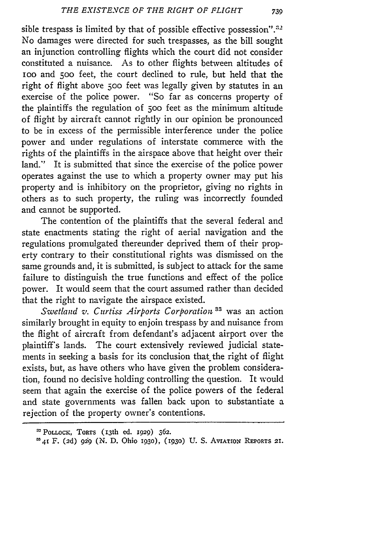sible trespass is limited by that of possible effective possession". $32$ No damages were directed for such trespasses, as the bill sought an injunction controlling flights which the court did not consider constituted a nuisance. As to other flights between altitudes of ioo and **500** feet, the court declined to rule, but held that the right of flight above **500** feet was legally given by statutes in an exercise of the police power. "So far as concerns property of the plaintiffs the regulation of **500** feet as the minimum altitude of flight by aircraft cannot rightly in our opinion be pronounced to be in excess of the permissible interference under the police power and under regulations of interstate commerce with the rights of the plaintiffs in the airspace above that height over their land." It is submitted that since the exercise of the police power operates against the use to which a property owner may put his property and is inhibitory on the proprietor, giving no rights in others as to such property, the ruling was incorrectly founded and cannot be supported.

The contention of the plaintiffs that the several federal and state enactments stating the right of aerial navigation and the regulations promulgated thereunder deprived them of their property contrary to their constitutional rights was dismissed on the same grounds and, it is submitted, is subject to attack for the same failure to distinguish the true functions and effect of the police power. It would seem that the court assumed rather than decided that the right to navigate the airspace existed.

*Swetland v. Curtiss Airports Corporation*<sup>33</sup> was an action similarly brought in equity to enjoin trespass by and nuisance fron the flight of aircraft from defendant's adjacent airport over the plaintiff's lands. The court extensively reviewed judicial statements in seeking a basis for its conclusion that the right of flight exists, but, as have others who have given the problem consideration, found no decisive holding controlling the question. It would seem that again the exercise of the police powers of the federal and state governments was fallen back upon to substantiate a rejection of the property owner's contentions.

**<sup>:^</sup>** PoLLocK, ToRTs **(13th** ed. 1929) **362.**

<sup>=41</sup> F. **(2d) gig (N. D.** Ohio i93o), **(1930)** U. **S. AvIATioN** REPORTS **21.**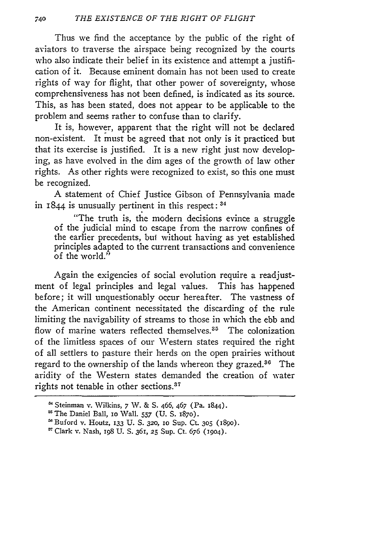Thus we find the acceptance by the public of the right of aviators to traverse the airspace being recognized by the courts who also indicate their belief in its existence and attempt a justification of it. Because eminent domain has not been used to create rights of way for flight, that other power of sovereignty, whose comprehensiveness has not been defined, is indicated as its source. This, as has been stated, does not appear to be applicable to the problem and seems rather to confuse than to clarify.

It is, however, apparent that the right will not be declared non-existent. It must be agreed that not only is it practiced but that its exercise is justified. It is a new right just now developing, as have evolved in the dim ages of the growth of law other rights. As other rights were recognized to exist, so this one must be recognized.

A statement of Chief Justice Gibson of Pennsylvania made in 1844 is unusually pertinent in this respect: **<sup>34</sup>**

"The truth is, the modern decisions evince a struggle of the judicial mind to escape from the narrow confines of the earlier precedents, bul without having as yet established principles adapted to the current transactions and convenience of the world."

Again the exigencies of social evolution require a readjustment of legal principles and legal values. This has happened before; it will unquestionably occur hereafter. The vastness of the American continent necessitated the discarding of the rule limiting the navigability of streams to those in which the ebb and flow of marine waters reflected themselves.<sup>35</sup> The colonization of the limitless spaces of our Western states required the right of all settlers to pasture their herds on the open prairies without regard to the ownership of the lands whereon they grazed.<sup>36</sup> The aridity of the Western states demanded the creation of water rights not tenable in other sections.<sup>37</sup>

**"** Clark v. Nash, 198 **U. S.** 361, **25** Sup. Ct. 676 (904).

Steinman **v.** Wilkins, 7 W. & **S.** 466, 467 (Pa. 1844).

<sup>&#</sup>x27;The Daniel Ball, IO Wall. **557 (U. S.** 1870).

<sup>&#</sup>x27;Buford v. Houtz, 133 **U. S. 320, 10** Sup. Ct. **305** (890).